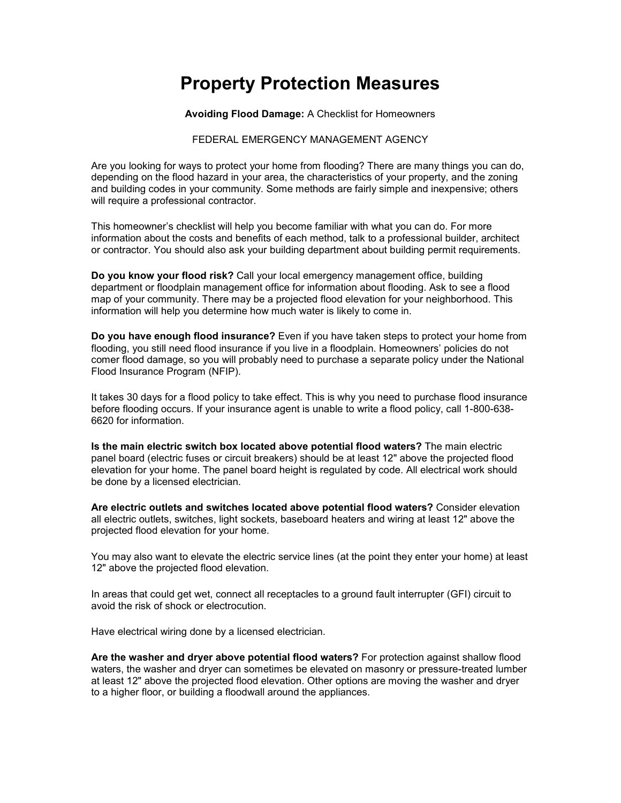## **Property Protection Measures**

**Avoiding Flood Damage:** A Checklist for Homeowners

## FEDERAL EMERGENCY MANAGEMENT AGENCY

Are you looking for ways to protect your home from flooding? There are many things you can do, depending on the flood hazard in your area, the characteristics of your property, and the zoning and building codes in your community. Some methods are fairly simple and inexpensive; others will require a professional contractor.

This homeowner's checklist will help you become familiar with what you can do. For more information about the costs and benefits of each method, talk to a professional builder, architect or contractor. You should also ask your building department about building permit requirements.

**Do you know your flood risk?** Call your local emergency management office, building department or floodplain management office for information about flooding. Ask to see a flood map of your community. There may be a projected flood elevation for your neighborhood. This information will help you determine how much water is likely to come in.

**Do you have enough flood insurance?** Even if you have taken steps to protect your home from flooding, you still need flood insurance if you live in a floodplain. Homeowners' policies do not comer flood damage, so you will probably need to purchase a separate policy under the National Flood Insurance Program (NFIP).

It takes 30 days for a flood policy to take effect. This is why you need to purchase flood insurance before flooding occurs. If your insurance agent is unable to write a flood policy, call 1-800-638- 6620 for information.

**Is the main electric switch box located above potential flood waters?** The main electric panel board (electric fuses or circuit breakers) should be at least 12" above the projected flood elevation for your home. The panel board height is regulated by code. All electrical work should be done by a licensed electrician.

**Are electric outlets and switches located above potential flood waters?** Consider elevation all electric outlets, switches, light sockets, baseboard heaters and wiring at least 12" above the projected flood elevation for your home.

You may also want to elevate the electric service lines (at the point they enter your home) at least 12" above the projected flood elevation.

In areas that could get wet, connect all receptacles to a ground fault interrupter (GFI) circuit to avoid the risk of shock or electrocution.

Have electrical wiring done by a licensed electrician.

**Are the washer and dryer above potential flood waters?** For protection against shallow flood waters, the washer and dryer can sometimes be elevated on masonry or pressure-treated lumber at least 12" above the projected flood elevation. Other options are moving the washer and dryer to a higher floor, or building a floodwall around the appliances.